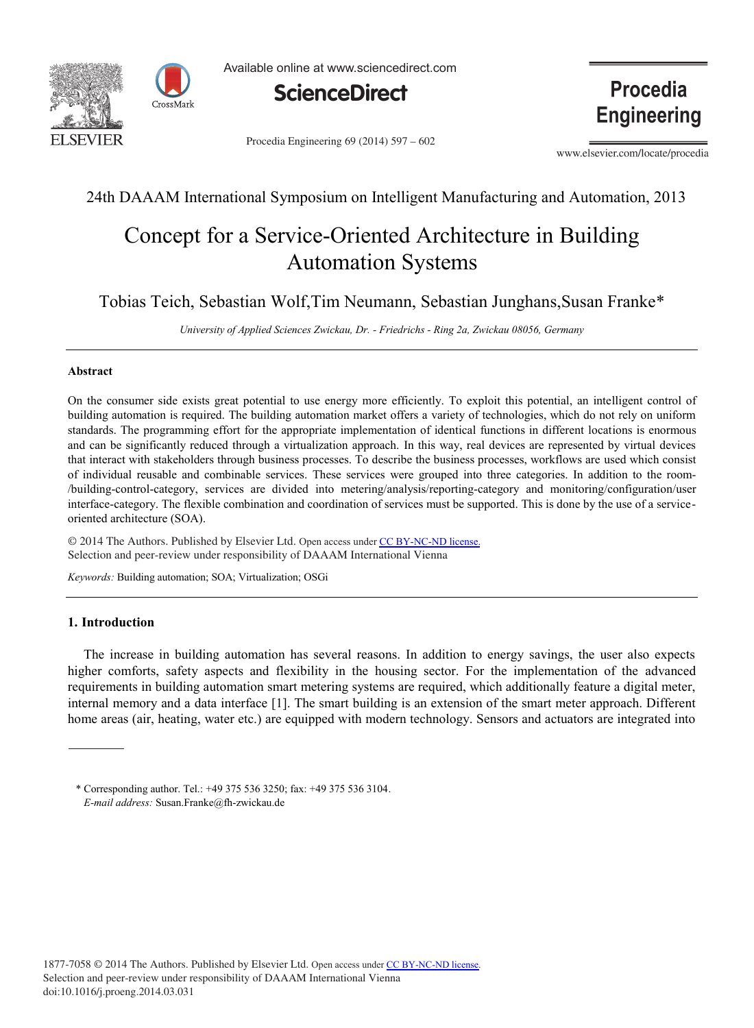



Available online at www.sciencedirect.com



Procedia Engineering 69 (2014) 597 – 602

**Procedia Engineering** 

www.elsevier.com/locate/procedia

# 24th DAAAM International Symposium on Intelligent Manufacturing and Automation, 2013

# Concept for a Service-Oriented Architecture in Building Automation Systems

Tobias Teich, Sebastian Wolf,Tim Neumann, Sebastian Junghans,Susan Franke\*

*University of Applied Sciences Zwickau, Dr. - Friedrichs - Ring 2a, Zwickau 08056, Germany*

## **Abstract**

On the consumer side exists great potential to use energy more efficiently. To exploit this potential, an intelligent control of building automation is required. The building automation market offers a variety of technologies, which do not rely on uniform standards. The programming effort for the appropriate implementation of identical functions in different locations is enormous and can be significantly reduced through a virtualization approach. In this way, real devices are represented by virtual devices that interact with stakeholders through business processes. To describe the business processes, workflows are used which consist of individual reusable and combinable services. These services were grouped into three categories. In addition to the room- /building-control-category, services are divided into metering/analysis/reporting-category and monitoring/configuration/user interface-category. The flexible combination and coordination of services must be supported. This is done by the use of a serviceoriented architecture (SOA).

© 2014 The Authors. Published by Elsevier Ltd. © 2014 The Authors. Published by Elsevier Ltd. Open access under CC BY[-NC-ND license.](http://creativecommons.org/licenses/by-nc-nd/3.0/) Selection and peer-review under responsibility of DAAAM International Vienna.

*Keywords:* Building automation; SOA; Virtualization; OSGi

## **1. Introduction**

The increase in building automation has several reasons. In addition to energy savings, the user also expects higher comforts, safety aspects and flexibility in the housing sector. For the implementation of the advanced requirements in building automation smart metering systems are required, which additionally feature a digital meter, internal memory and a data interface [1]. The smart building is an extension of the smart meter approach. Different home areas (air, heating, water etc.) are equipped with modern technology. Sensors and actuators are integrated into

<sup>\*</sup> Corresponding author. Tel.: +49 375 536 3250; fax: +49 375 536 3104. *E-mail address:* Susan.Franke@fh-zwickau.de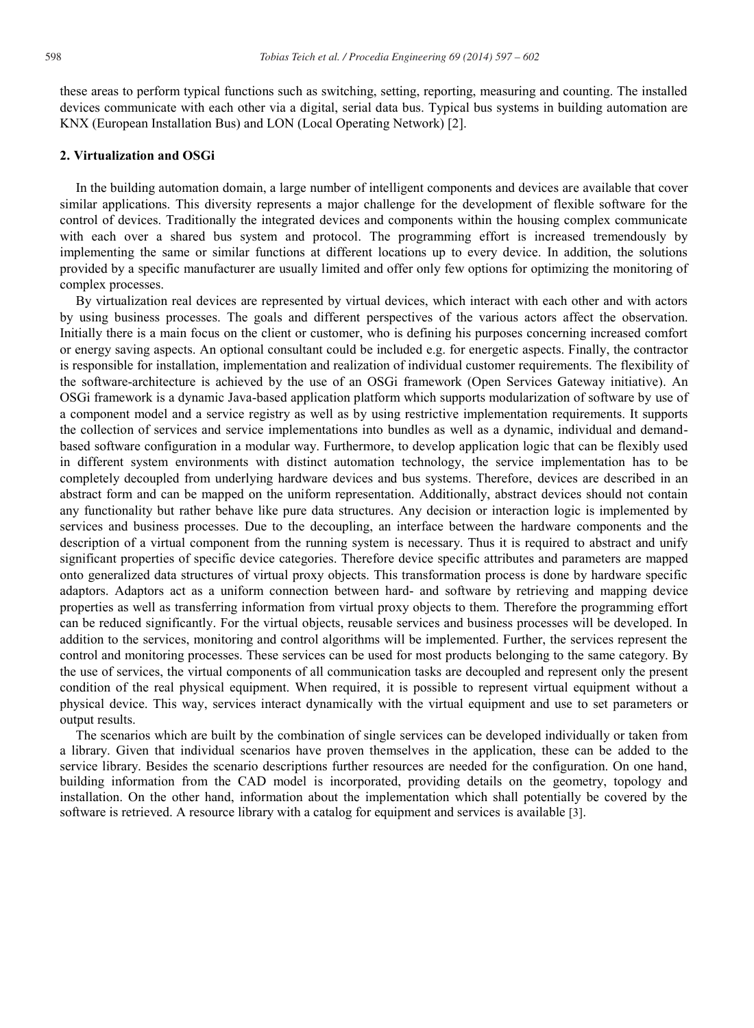these areas to perform typical functions such as switching, setting, reporting, measuring and counting. The installed devices communicate with each other via a digital, serial data bus. Typical bus systems in building automation are KNX (European Installation Bus) and LON (Local Operating Network) [2].

#### **2. Virtualization and OSGi**

In the building automation domain, a large number of intelligent components and devices are available that cover similar applications. This diversity represents a major challenge for the development of flexible software for the control of devices. Traditionally the integrated devices and components within the housing complex communicate with each over a shared bus system and protocol. The programming effort is increased tremendously by implementing the same or similar functions at different locations up to every device. In addition, the solutions provided by a specific manufacturer are usually limited and offer only few options for optimizing the monitoring of complex processes.

By virtualization real devices are represented by virtual devices, which interact with each other and with actors by using business processes. The goals and different perspectives of the various actors affect the observation. Initially there is a main focus on the client or customer, who is defining his purposes concerning increased comfort or energy saving aspects. An optional consultant could be included e.g. for energetic aspects. Finally, the contractor is responsible for installation, implementation and realization of individual customer requirements. The flexibility of the software-architecture is achieved by the use of an OSGi framework (Open Services Gateway initiative). An OSGi framework is a dynamic Java-based application platform which supports modularization of software by use of a component model and a service registry as well as by using restrictive implementation requirements. It supports the collection of services and service implementations into bundles as well as a dynamic, individual and demandbased software configuration in a modular way. Furthermore, to develop application logic that can be flexibly used in different system environments with distinct automation technology, the service implementation has to be completely decoupled from underlying hardware devices and bus systems. Therefore, devices are described in an abstract form and can be mapped on the uniform representation. Additionally, abstract devices should not contain any functionality but rather behave like pure data structures. Any decision or interaction logic is implemented by services and business processes. Due to the decoupling, an interface between the hardware components and the description of a virtual component from the running system is necessary. Thus it is required to abstract and unify significant properties of specific device categories. Therefore device specific attributes and parameters are mapped onto generalized data structures of virtual proxy objects. This transformation process is done by hardware specific adaptors. Adaptors act as a uniform connection between hard- and software by retrieving and mapping device properties as well as transferring information from virtual proxy objects to them. Therefore the programming effort can be reduced significantly. For the virtual objects, reusable services and business processes will be developed. In addition to the services, monitoring and control algorithms will be implemented. Further, the services represent the control and monitoring processes. These services can be used for most products belonging to the same category. By the use of services, the virtual components of all communication tasks are decoupled and represent only the present condition of the real physical equipment. When required, it is possible to represent virtual equipment without a physical device. This way, services interact dynamically with the virtual equipment and use to set parameters or output results.

The scenarios which are built by the combination of single services can be developed individually or taken from a library. Given that individual scenarios have proven themselves in the application, these can be added to the service library. Besides the scenario descriptions further resources are needed for the configuration. On one hand, building information from the CAD model is incorporated, providing details on the geometry, topology and installation. On the other hand, information about the implementation which shall potentially be covered by the software is retrieved. A resource library with a catalog for equipment and services is available [3].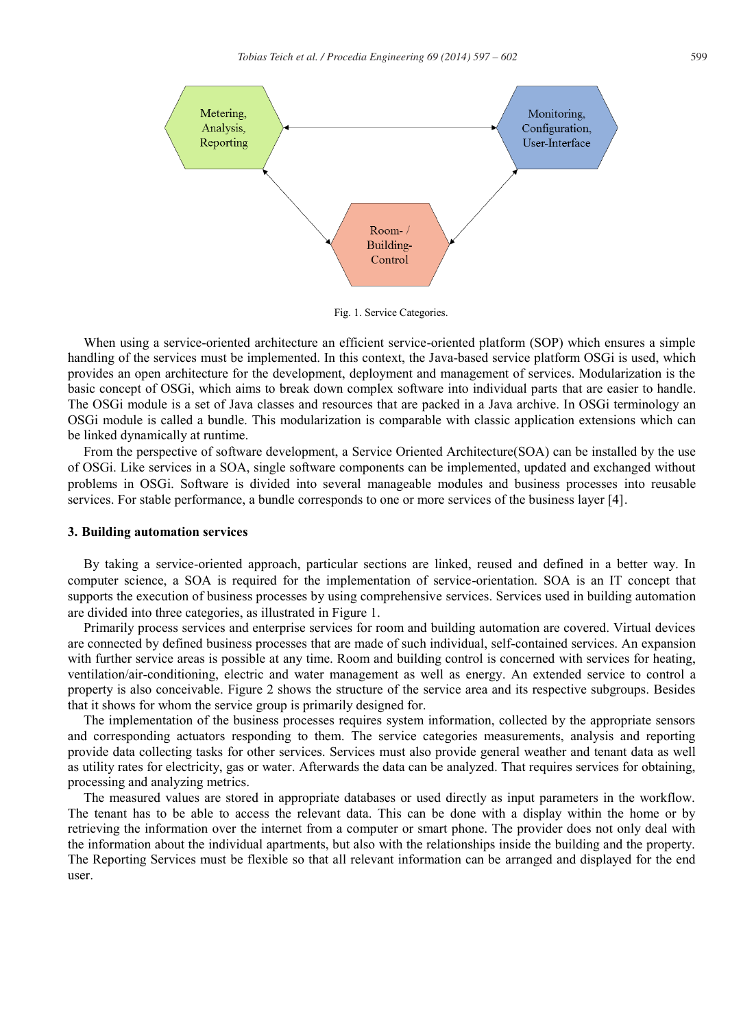

Fig. 1. Service Categories.

When using a service-oriented architecture an efficient service-oriented platform (SOP) which ensures a simple handling of the services must be implemented. In this context, the Java-based service platform OSGi is used, which provides an open architecture for the development, deployment and management of services. Modularization is the basic concept of OSGi, which aims to break down complex software into individual parts that are easier to handle. The OSGi module is a set of Java classes and resources that are packed in a Java archive. In OSGi terminology an OSGi module is called a bundle. This modularization is comparable with classic application extensions which can be linked dynamically at runtime.

From the perspective of software development, a Service Oriented Architecture(SOA) can be installed by the use of OSGi. Like services in a SOA, single software components can be implemented, updated and exchanged without problems in OSGi. Software is divided into several manageable modules and business processes into reusable services. For stable performance, a bundle corresponds to one or more services of the business layer [4].

#### **3. Building automation services**

By taking a service-oriented approach, particular sections are linked, reused and defined in a better way. In computer science, a SOA is required for the implementation of service-orientation. SOA is an IT concept that supports the execution of business processes by using comprehensive services. Services used in building automation are divided into three categories, as illustrated in Figure 1.

Primarily process services and enterprise services for room and building automation are covered. Virtual devices are connected by defined business processes that are made of such individual, self-contained services. An expansion with further service areas is possible at any time. Room and building control is concerned with services for heating, ventilation/air-conditioning, electric and water management as well as energy. An extended service to control a property is also conceivable. Figure 2 shows the structure of the service area and its respective subgroups. Besides that it shows for whom the service group is primarily designed for.

The implementation of the business processes requires system information, collected by the appropriate sensors and corresponding actuators responding to them. The service categories measurements, analysis and reporting provide data collecting tasks for other services. Services must also provide general weather and tenant data as well as utility rates for electricity, gas or water. Afterwards the data can be analyzed. That requires services for obtaining, processing and analyzing metrics.

The measured values are stored in appropriate databases or used directly as input parameters in the workflow. The tenant has to be able to access the relevant data. This can be done with a display within the home or by retrieving the information over the internet from a computer or smart phone. The provider does not only deal with the information about the individual apartments, but also with the relationships inside the building and the property. The Reporting Services must be flexible so that all relevant information can be arranged and displayed for the end user.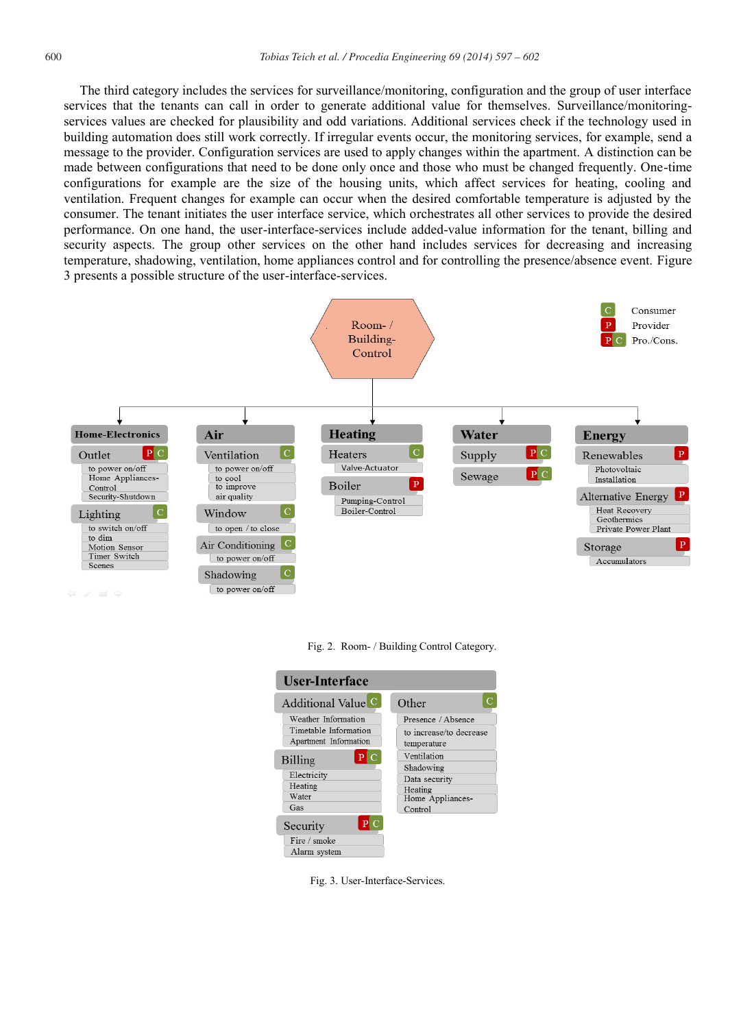The third category includes the services for surveillance/monitoring, configuration and the group of user interface services that the tenants can call in order to generate additional value for themselves. Surveillance/monitoringservices values are checked for plausibility and odd variations. Additional services check if the technology used in building automation does still work correctly. If irregular events occur, the monitoring services, for example, send a message to the provider. Configuration services are used to apply changes within the apartment. A distinction can be made between configurations that need to be done only once and those who must be changed frequently. One-time configurations for example are the size of the housing units, which affect services for heating, cooling and ventilation. Frequent changes for example can occur when the desired comfortable temperature is adjusted by the consumer. The tenant initiates the user interface service, which orchestrates all other services to provide the desired performance. On one hand, the user-interface-services include added-value information for the tenant, billing and security aspects. The group other services on the other hand includes services for decreasing and increasing temperature, shadowing, ventilation, home appliances control and for controlling the presence/absence event. Figure 3 presents a possible structure of the user-interface-services.



Fig. 2. Room- / Building Control Category.



Fig. 3. User-Interface-Services.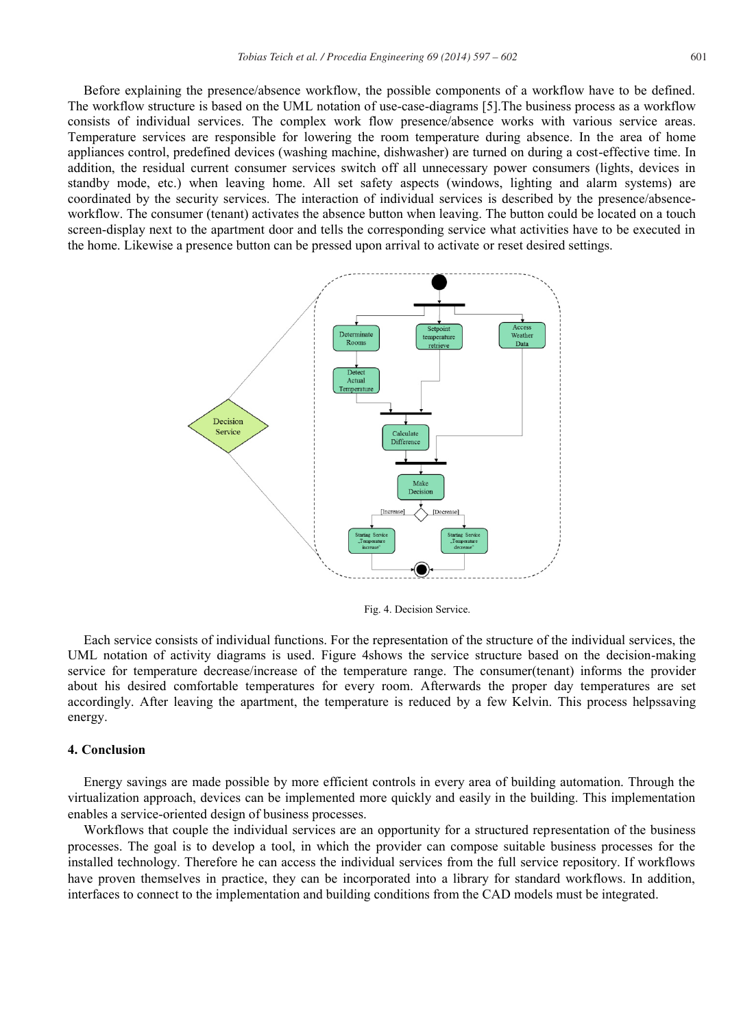Before explaining the presence/absence workflow, the possible components of a workflow have to be defined. The workflow structure is based on the UML notation of use-case-diagrams [5].The business process as a workflow consists of individual services. The complex work flow presence/absence works with various service areas. Temperature services are responsible for lowering the room temperature during absence. In the area of home appliances control, predefined devices (washing machine, dishwasher) are turned on during a cost-effective time. In addition, the residual current consumer services switch off all unnecessary power consumers (lights, devices in standby mode, etc.) when leaving home. All set safety aspects (windows, lighting and alarm systems) are coordinated by the security services. The interaction of individual services is described by the presence/absenceworkflow. The consumer (tenant) activates the absence button when leaving. The button could be located on a touch screen-display next to the apartment door and tells the corresponding service what activities have to be executed in the home. Likewise a presence button can be pressed upon arrival to activate or reset desired settings.



Fig. 4. Decision Service.

Each service consists of individual functions. For the representation of the structure of the individual services, the UML notation of activity diagrams is used. Figure 4shows the service structure based on the decision-making service for temperature decrease/increase of the temperature range. The consumer(tenant) informs the provider about his desired comfortable temperatures for every room. Afterwards the proper day temperatures are set accordingly. After leaving the apartment, the temperature is reduced by a few Kelvin. This process helpssaving energy.

#### **4. Conclusion**

Energy savings are made possible by more efficient controls in every area of building automation. Through the virtualization approach, devices can be implemented more quickly and easily in the building. This implementation enables a service-oriented design of business processes.

Workflows that couple the individual services are an opportunity for a structured representation of the business processes. The goal is to develop a tool, in which the provider can compose suitable business processes for the installed technology. Therefore he can access the individual services from the full service repository. If workflows have proven themselves in practice, they can be incorporated into a library for standard workflows. In addition, interfaces to connect to the implementation and building conditions from the CAD models must be integrated.